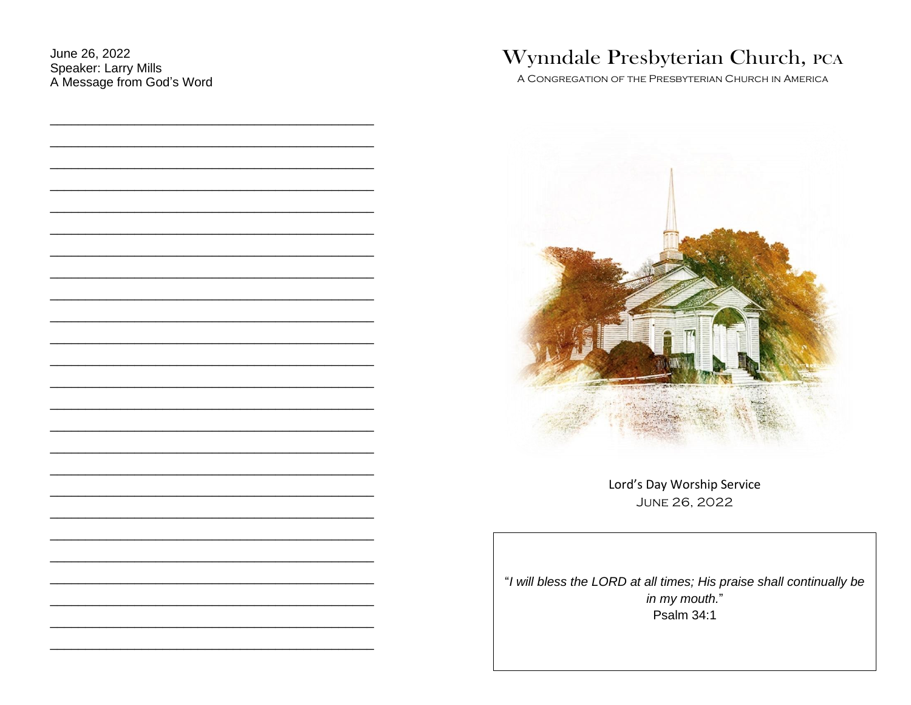June 26, 2022 Speaker: Larry Mills A Message from God's Word

|  |  |  | Wynndale Presbyterian Church, PCA |  |  |
|--|--|--|-----------------------------------|--|--|
|--|--|--|-----------------------------------|--|--|

A CONGREGATION OF THE PRESBYTERIAN CHURCH IN AMERICA



Lord's Day Worship Service **JUNE 26, 2022** 

"I will bless the LORD at all times; His praise shall continually be in my mouth." **Psalm 34:1**